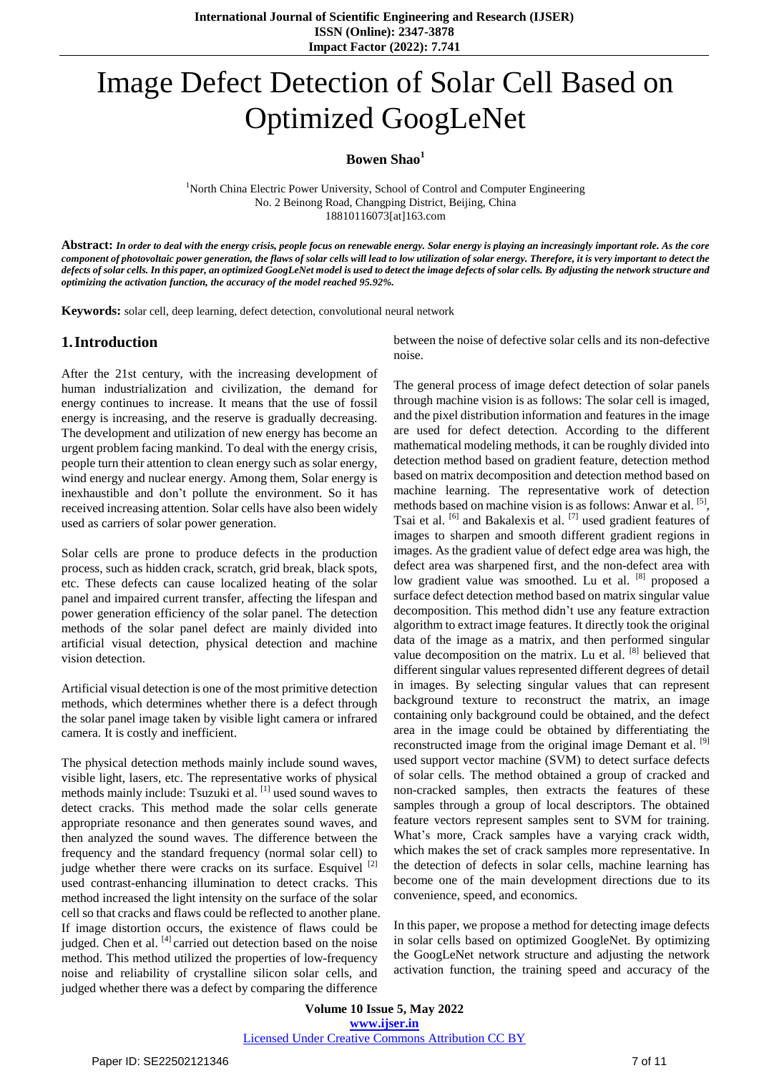# Image Defect Detection of Solar Cell Based on Optimized GoogLeNet

#### **Bowen Shao<sup>1</sup>**

<sup>1</sup>North China Electric Power University, School of Control and Computer Engineering No. 2 Beinong Road, Changping District, Beijing, China 18810116073[at]163.com

Abstract: In order to deal with the energy crisis, people focus on renewable energy. Solar energy is playing an increasingly important role. As the core component of photovoltaic power generation, the flaws of solar cells will lead to low utilization of solar energy. Therefore, it is very important to detect the defects of solar cells. In this paper, an optimized GoogLeNet model is used to detect the image defects of solar cells. By adjusting the network structure and *optimizing the activation function, the accuracy of the model reached 95.92%.*

**Keywords:** solar cell, deep learning, defect detection, convolutional neural network

## **1.Introduction**

After the 21st century, with the increasing development of human industrialization and civilization, the demand for energy continues to increase. It means that the use of fossil energy is increasing, and the reserve is gradually decreasing. The development and utilization of new energy has become an urgent problem facing mankind. To deal with the energy crisis, people turn their attention to clean energy such as solar energy, wind energy and nuclear energy. Among them, Solar energy is inexhaustible and don't pollute the environment. So it has received increasing attention. Solar cells have also been widely used as carriers of solar power generation.

Solar cells are prone to produce defects in the production process, such as hidden crack, scratch, grid break, black spots, etc. These defects can cause localized heating of the solar panel and impaired current transfer, affecting the lifespan and power generation efficiency of the solar panel. The detection methods of the solar panel defect are mainly divided into artificial visual detection, physical detection and machine vision detection.

Artificial visual detection is one of the most primitive detection methods, which determines whether there is a defect through the solar panel image taken by visible light camera or infrared camera. It is costly and inefficient.

The physical detection methods mainly include sound waves, visible light, lasers, etc. The representative works of physical methods mainly include: Tsuzuki et al. [1] used sound waves to detect cracks. This method made the solar cells generate appropriate resonance and then generates sound waves, and then analyzed the sound waves. The difference between the frequency and the standard frequency (normal solar cell) to judge whether there were cracks on its surface. Esquivel <sup>[2]</sup> used contrast-enhancing illumination to detect cracks. This method increased the light intensity on the surface of the solar cell so that cracks and flaws could be reflected to another plane. If image distortion occurs, the existence of flaws could be judged. Chen et al. [4] carried out detection based on the noise method. This method utilized the properties of low-frequency noise and reliability of crystalline silicon solar cells, and judged whether there was a defect by comparing the difference

between the noise of defective solar cells and its non-defective noise.

The general process of image defect detection of solar panels through machine vision is as follows: The solar cell is imaged, and the pixel distribution information and features in the image are used for defect detection. According to the different mathematical modeling methods, it can be roughly divided into detection method based on gradient feature, detection method based on matrix decomposition and detection method based on machine learning. The representative work of detection methods based on machine vision is as follows: Anwar et al. [5], Tsai et al. <sup>[6]</sup> and Bakalexis et al. <sup>[7]</sup> used gradient features of images to sharpen and smooth different gradient regions in images. As the gradient value of defect edge area was high, the defect area was sharpened first, and the non-defect area with low gradient value was smoothed. Lu et al. <sup>[8]</sup> proposed a surface defect detection method based on matrix singular value decomposition. This method didn't use any feature extraction algorithm to extract image features. It directly took the original data of the image as a matrix, and then performed singular value decomposition on the matrix. Lu et al.  $[8]$  believed that different singular values represented different degrees of detail in images. By selecting singular values that can represent background texture to reconstruct the matrix, an image containing only background could be obtained, and the defect area in the image could be obtained by differentiating the reconstructed image from the original image Demant et al. [9] used support vector machine (SVM) to detect surface defects of solar cells. The method obtained a group of cracked and non-cracked samples, then extracts the features of these samples through a group of local descriptors. The obtained feature vectors represent samples sent to SVM for training. What's more, Crack samples have a varying crack width, which makes the set of crack samples more representative. In the detection of defects in solar cells, machine learning has become one of the main development directions due to its convenience, speed, and economics.

In this paper, we propose a method for detecting image defects in solar cells based on optimized GoogleNet. By optimizing the GoogLeNet network structure and adjusting the network activation function, the training speed and accuracy of the

**Volume 10 Issue 5, May 2022 www.ijser.in** Licensed Under Creative Commons Attribution CC BY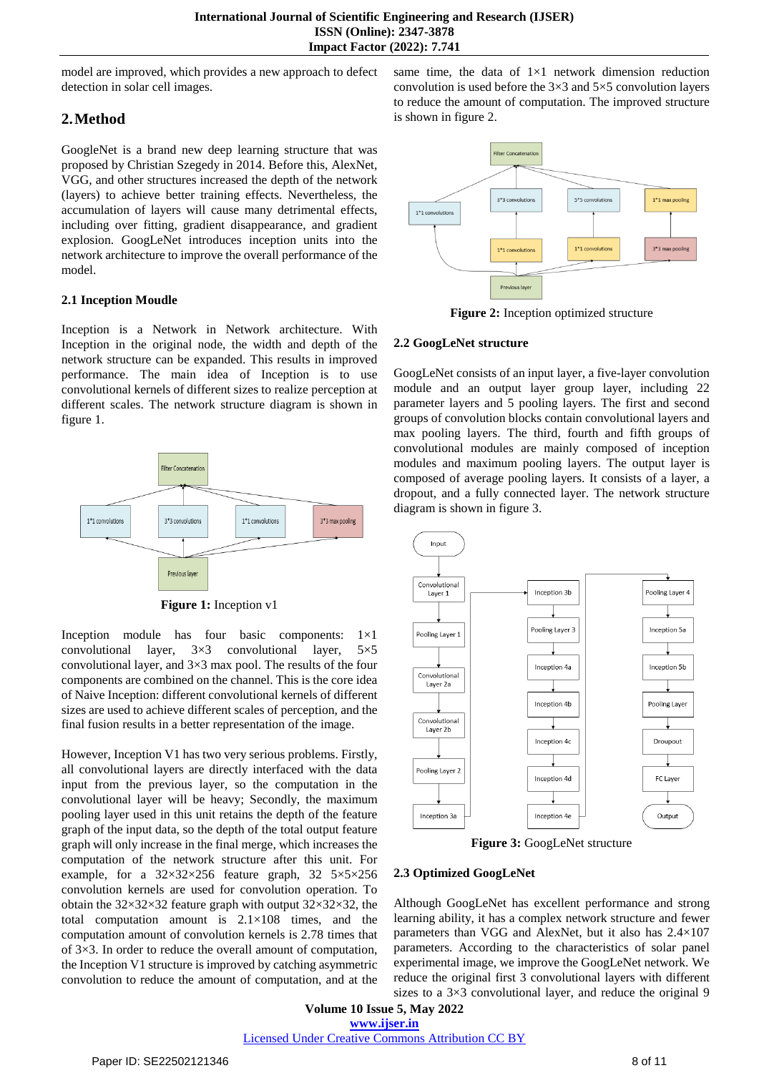model are improved, which provides a new approach to defect detection in solar cell images.

# **2.Method**

GoogleNet is a brand new deep learning structure that was proposed by Christian Szegedy in 2014. Before this, AlexNet, VGG, and other structures increased the depth of the network (layers) to achieve better training effects. Nevertheless, the accumulation of layers will cause many detrimental effects, including over fitting, gradient disappearance, and gradient explosion. GoogLeNet introduces inception units into the network architecture to improve the overall performance of the model.

## **2.1 Inception Moudle**

Inception is a Network in Network architecture. With Inception in the original node, the width and depth of the network structure can be expanded. This results in improved performance. The main idea of Inception is to use convolutional kernels of different sizes to realize perception at different scales. The network structure diagram is shown in figure 1.



**Figure 1:** Inception v1

Inception module has four basic components: 1×1 convolutional layer, 3×3 convolutional layer, 5×5 convolutional layer, and 3×3 max pool. The results of the four components are combined on the channel. This is the core idea of Naive Inception: different convolutional kernels of different sizes are used to achieve different scales of perception, and the final fusion results in a better representation of the image.

However, Inception V1 has two very serious problems. Firstly, all convolutional layers are directly interfaced with the data input from the previous layer, so the computation in the convolutional layer will be heavy; Secondly, the maximum pooling layer used in this unit retains the depth of the feature graph of the input data, so the depth of the total output feature graph will only increase in the final merge, which increases the computation of the network structure after this unit. For example, for a 32×32×256 feature graph, 32 5×5×256 convolution kernels are used for convolution operation. To obtain the  $32\times32\times32$  feature graph with output  $32\times32\times32$ , the total computation amount is  $2.1 \times 108$  times, and the computation amount of convolution kernels is 2.78 times that of 3×3. In order to reduce the overall amount of computation, the Inception V1 structure is improved by catching asymmetric convolution to reduce the amount of computation, and at the same time, the data of  $1\times1$  network dimension reduction convolution is used before the 3×3 and 5×5 convolution layers to reduce the amount of computation. The improved structure is shown in figure 2.



**Figure 2:** Inception optimized structure

#### **2.2 GoogLeNet structure**

GoogLeNet consists of an input layer, a five-layer convolution module and an output layer group layer, including 22 parameter layers and 5 pooling layers. The first and second groups of convolution blocks contain convolutional layers and max pooling layers. The third, fourth and fifth groups of convolutional modules are mainly composed of inception modules and maximum pooling layers. The output layer is composed of average pooling layers. It consists of a layer, a dropout, and a fully connected layer. The network structure diagram is shown in figure 3.



**Figure 3:** GoogLeNet structure

## **2.3 Optimized GoogLeNet**

Although GoogLeNet has excellent performance and strong learning ability, it has a complex network structure and fewer parameters than VGG and AlexNet, but it also has 2.4×107 parameters. According to the characteristics of solar panel experimental image, we improve the GoogLeNet network. We reduce the original first 3 convolutional layers with different sizes to a  $3\times3$  convolutional layer, and reduce the original 9

**Volume 10 Issue 5, May 2022 www.ijser.in**

Licensed Under Creative Commons Attribution CC BY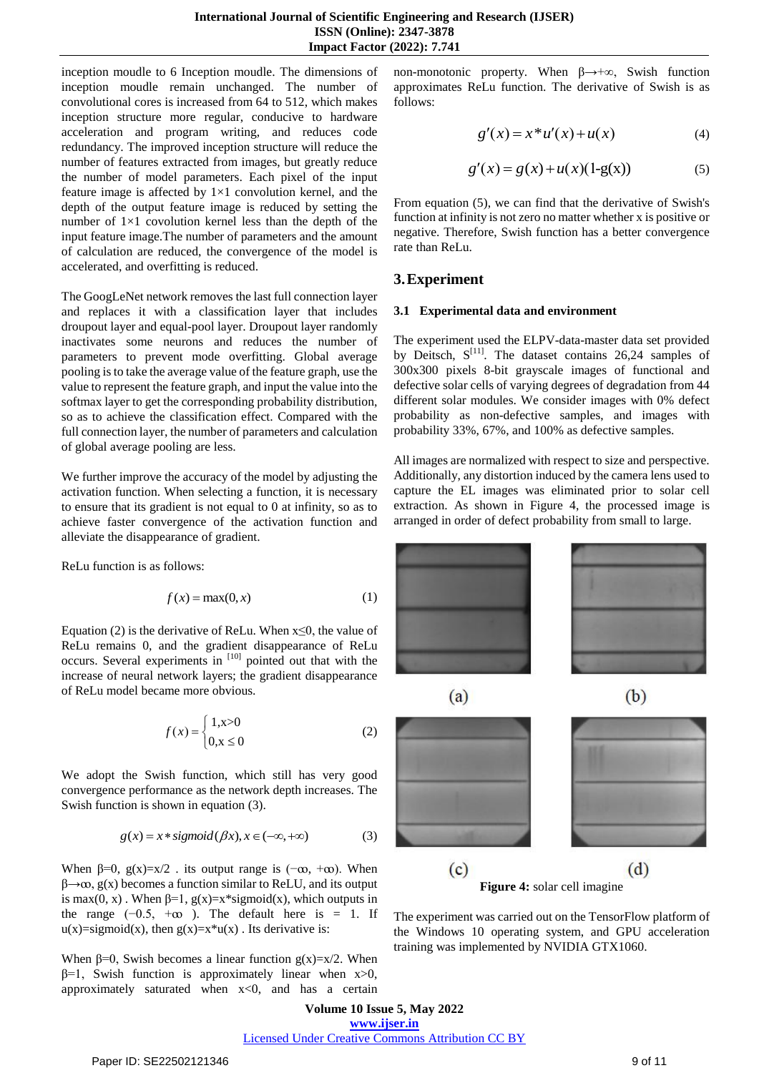inception moudle to 6 Inception moudle. The dimensions of inception moudle remain unchanged. The number of convolutional cores is increased from 64 to 512, which makes inception structure more regular, conducive to hardware acceleration and program writing, and reduces code redundancy. The improved inception structure will reduce the number of features extracted from images, but greatly reduce the number of model parameters. Each pixel of the input feature image is affected by  $1\times1$  convolution kernel, and the depth of the output feature image is reduced by setting the number of  $1\times1$  covolution kernel less than the depth of the input feature image.The number of parameters and the amount of calculation are reduced, the convergence of the model is accelerated, and overfitting is reduced.

The GoogLeNet network removes the last full connection layer and replaces it with a classification layer that includes droupout layer and equal-pool layer. Droupout layer randomly inactivates some neurons and reduces the number of parameters to prevent mode overfitting. Global average pooling isto take the average value of the feature graph, use the value to represent the feature graph, and input the value into the softmax layer to get the corresponding probability distribution, so as to achieve the classification effect. Compared with the full connection layer, the number of parameters and calculation of global average pooling are less.

We further improve the accuracy of the model by adjusting the activation function. When selecting a function, it is necessary to ensure that its gradient is not equal to 0 at infinity, so as to achieve faster convergence of the activation function and alleviate the disappearance of gradient.

ReLu function is as follows:

$$
f(x) = \max(0, x) \tag{1}
$$

Equation (2) is the derivative of ReLu. When  $x \le 0$ , the value of ReLu remains 0, and the gradient disappearance of ReLu occurs. Several experiments in [10] pointed out that with the increase of neural network layers; the gradient disappearance of ReLu model became more obvious.

$$
f(x) = \begin{cases} 1, & x > 0 \\ 0, & x \le 0 \end{cases}
$$
 (2)

We adopt the Swish function, which still has very good convergence performance as the network depth increases. The Swish function is shown in equation (3).

$$
g(x) = x * sigmoid(\beta x), x \in (-\infty, +\infty)
$$
 (3)

When  $\beta=0$ ,  $g(x)=x/2$ . its output range is  $(-\infty, +\infty)$ . When  $\beta \rightarrow \infty$ , g(x) becomes a function similar to ReLU, and its output is max(0, x). When  $\beta=1$ , g(x)=x\*sigmoid(x), which outputs in the range  $(-0.5, +\infty)$ . The default here is = 1. If  $u(x)$ =sigmoid(x), then  $g(x)$ =x<sup>\*</sup>u(x). Its derivative is:

When  $\beta=0$ , Swish becomes a linear function g(x)=x/2. When  $β=1$ , Swish function is approximately linear when  $x>0$ , approximately saturated when  $x<0$ , and has a certain non-monotonic property. When  $\beta \rightarrow +\infty$ , Swish function approximates ReLu function. The derivative of Swish is as follows:

$$
g'(x) = x * u'(x) + u(x)
$$
 (4)

$$
g'(x) = g(x) + u(x)(1 - g(x))
$$
 (5)

From equation (5), we can find that the derivative of Swish's function at infinity is not zero no matter whether x is positive or negative. Therefore, Swish function has a better convergence rate than ReLu.

## **3.Experiment**

#### **3.1 Experimental data and environment**

The experiment used the ELPV-data-master data set provided by Deitsch,  $S^{[11]}$ . The dataset contains 26,24 samples of 300x300 pixels 8-bit grayscale images of functional and defective solar cells of varying degrees of degradation from 44 different solar modules. We consider images with 0% defect probability as non-defective samples, and images with probability 33%, 67%, and 100% as defective samples.

All images are normalized with respect to size and perspective. Additionally, any distortion induced by the camera lens used to capture the EL images was eliminated prior to solar cell extraction. As shown in Figure 4, the processed image is arranged in order of defect probability from small to large.



**Figure 4:** solar cell imagine

The experiment was carried out on the TensorFlow platform of the Windows 10 operating system, and GPU acceleration training was implemented by NVIDIA GTX1060.

**Volume 10 Issue 5, May 2022 www.ijser.in** Licensed Under Creative Commons Attribution CC BY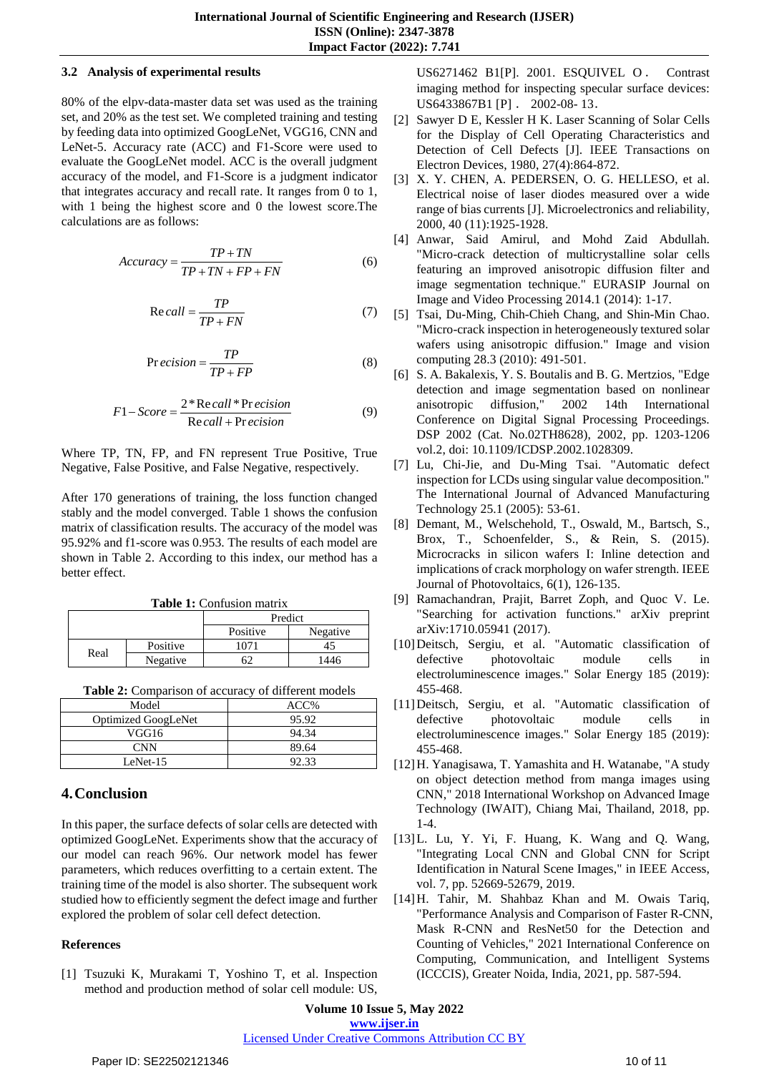#### **3.2 Analysis of experimental results**

80% of the elpv-data-master data set was used as the training set, and 20% as the test set. We completed training and testing by feeding data into optimized GoogLeNet, VGG16, CNN and LeNet-5. Accuracy rate (ACC) and F1-Score were used to evaluate the GoogLeNet model. ACC is the overall judgment accuracy of the model, and F1-Score is a judgment indicator that integrates accuracy and recall rate. It ranges from 0 to 1, with 1 being the highest score and 0 the lowest score.The calculations are as follows:

$$
Accuracy = \frac{TP + TN}{TP + TN + FP + FN}
$$
 (6)

$$
Recall = \frac{TP}{TP + FN}
$$
 (7)

$$
Pr\,ecision = \frac{TP}{TP + FP} \tag{8}
$$

$$
F1 - Score = \frac{2 * \text{Re call} * \text{Pr ecision}}{\text{Re call} + \text{Pr ecision}}
$$
(9)

Where TP, TN, FP, and FN represent True Positive, True Negative, False Positive, and False Negative, respectively.

After 170 generations of training, the loss function changed stably and the model converged. Table 1 shows the confusion matrix of classification results. The accuracy of the model was 95.92% and f1-score was 0.953. The results of each model are shown in Table 2. According to this index, our method has a better effect.

**Table 1:** Confusion matrix

|      |          | Predict  |          |
|------|----------|----------|----------|
|      |          | Positive | Negative |
| Real | Positive | 1071     |          |
|      | Negative |          | 1446     |

**Table 2:** Comparison of accuracy of different models

| Model                      | ACC%  |
|----------------------------|-------|
| <b>Optimized GoogLeNet</b> | 95.92 |
| VGG16                      | 94.34 |
| <b>CNN</b>                 | 89.64 |
| LeNet- $15$                | 92.33 |

# **4.Conclusion**

In this paper, the surface defects of solar cells are detected with optimized GoogLeNet. Experiments show that the accuracy of our model can reach 96%. Our network model has fewer parameters, which reduces overfitting to a certain extent. The training time of the model is also shorter. The subsequent work studied how to efficiently segment the defect image and further explored the problem of solar cell defect detection.

## **References**

[1] Tsuzuki K, Murakami T, Yoshino T, et al. Inspection method and production method of solar cell module: US,

US6271462 B1[P]. 2001. ESQUIVEL O . Contrast imaging method for inspecting specular surface devices: US6433867B1 [P] . 2002-08- 13.

- [2] Sawyer D E, Kessler H K. Laser Scanning of Solar Cells for the Display of Cell Operating Characteristics and Detection of Cell Defects [J]. IEEE Transactions on Electron Devices, 1980, 27(4):864-872.
- [3] X. Y. CHEN, A. PEDERSEN, O. G. HELLESO, et al. Electrical noise of laser diodes measured over a wide range of bias currents [J]. Microelectronics and reliability, 2000, 40 (11):1925-1928.
- [4] Anwar, Said Amirul, and Mohd Zaid Abdullah. "Micro-crack detection of multicrystalline solar cells featuring an improved anisotropic diffusion filter and image segmentation technique." EURASIP Journal on Image and Video Processing 2014.1 (2014): 1-17.
- [5] Tsai, Du-Ming, Chih-Chieh Chang, and Shin-Min Chao. "Micro-crack inspection in heterogeneously textured solar wafers using anisotropic diffusion." Image and vision computing 28.3 (2010): 491-501.
- [6] S. A. Bakalexis, Y. S. Boutalis and B. G. Mertzios, "Edge detection and image segmentation based on nonlinear anisotropic diffusion," 2002 14th International Conference on Digital Signal Processing Proceedings. DSP 2002 (Cat. No.02TH8628), 2002, pp. 1203-1206 vol.2, doi: 10.1109/ICDSP.2002.1028309.
- [7] Lu, Chi-Jie, and Du-Ming Tsai. "Automatic defect inspection for LCDs using singular value decomposition." The International Journal of Advanced Manufacturing Technology 25.1 (2005): 53-61.
- [8] Demant, M., Welschehold, T., Oswald, M., Bartsch, S., Brox, T., Schoenfelder, S., & Rein, S. (2015). Microcracks in silicon wafers I: Inline detection and implications of crack morphology on wafer strength. IEEE Journal of Photovoltaics, 6(1), 126-135.
- [9] Ramachandran, Prajit, Barret Zoph, and Quoc V. Le. "Searching for activation functions." arXiv preprint arXiv:1710.05941 (2017).
- [10]Deitsch, Sergiu, et al. "Automatic classification of defective photovoltaic module cells in electroluminescence images." Solar Energy 185 (2019): 455-468.
- [11]Deitsch, Sergiu, et al. "Automatic classification of defective photovoltaic module cells in electroluminescence images." Solar Energy 185 (2019): 455-468.
- [12]H. Yanagisawa, T. Yamashita and H. Watanabe, "A study on object detection method from manga images using CNN," 2018 International Workshop on Advanced Image Technology (IWAIT), Chiang Mai, Thailand, 2018, pp. 1-4.
- [13]L. Lu, Y. Yi, F. Huang, K. Wang and Q. Wang, "Integrating Local CNN and Global CNN for Script Identification in Natural Scene Images," in IEEE Access, vol. 7, pp. 52669-52679, 2019.
- [14]H. Tahir, M. Shahbaz Khan and M. Owais Tariq, "Performance Analysis and Comparison of Faster R-CNN, Mask R-CNN and ResNet50 for the Detection and Counting of Vehicles," 2021 International Conference on Computing, Communication, and Intelligent Systems (ICCCIS), Greater Noida, India, 2021, pp. 587-594.

**Volume 10 Issue 5, May 2022 www.ijser.in**

Licensed Under Creative Commons Attribution CC BY